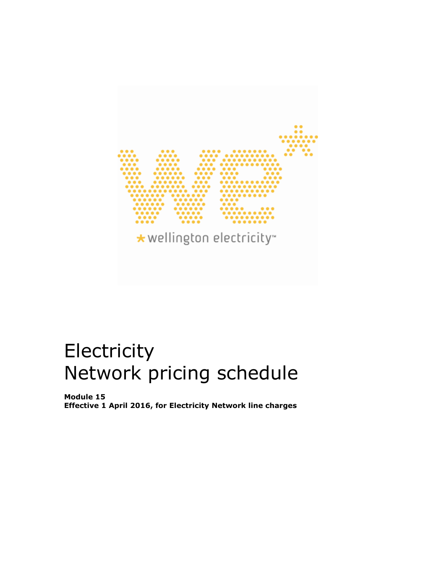

# **Electricity** Network pricing schedule

**Module 15 Effective 1 April 2016, for Electricity Network line charges**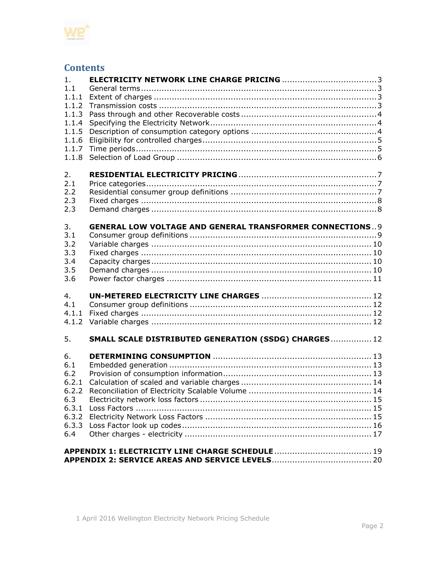

# **Contents**

| 1.           |                                                                 |  |
|--------------|-----------------------------------------------------------------|--|
| 1.1<br>1.1.1 |                                                                 |  |
| 1.1.2        |                                                                 |  |
| 1.1.3        |                                                                 |  |
| 1.1.4        |                                                                 |  |
| 1.1.5        |                                                                 |  |
| 1.1.6        |                                                                 |  |
| 1.1.7        |                                                                 |  |
| 1.1.8        |                                                                 |  |
|              |                                                                 |  |
| 2.           |                                                                 |  |
| 2.1          |                                                                 |  |
| 2.2          |                                                                 |  |
| 2.3          |                                                                 |  |
| 2.3          |                                                                 |  |
|              |                                                                 |  |
| 3.           | <b>GENERAL LOW VOLTAGE AND GENERAL TRANSFORMER CONNECTIONS9</b> |  |
| 3.1<br>3.2   |                                                                 |  |
| 3.3          |                                                                 |  |
| 3.4          |                                                                 |  |
| 3.5          |                                                                 |  |
| 3.6          |                                                                 |  |
|              |                                                                 |  |
| 4.           |                                                                 |  |
| 4.1          |                                                                 |  |
| 4.1.1        |                                                                 |  |
| 4.1.2        |                                                                 |  |
|              |                                                                 |  |
| 5.           | SMALL SCALE DISTRIBUTED GENERATION (SSDG) CHARGES  12           |  |
|              |                                                                 |  |
| 6.<br>6.1    |                                                                 |  |
| 6.2          |                                                                 |  |
| 6.2.1        |                                                                 |  |
| 6.2.2        |                                                                 |  |
| 6.3          |                                                                 |  |
| 6.3.1        |                                                                 |  |
| 6.3.2        |                                                                 |  |
| 6.3.3        |                                                                 |  |
| 6.4          |                                                                 |  |
|              |                                                                 |  |
|              |                                                                 |  |
|              |                                                                 |  |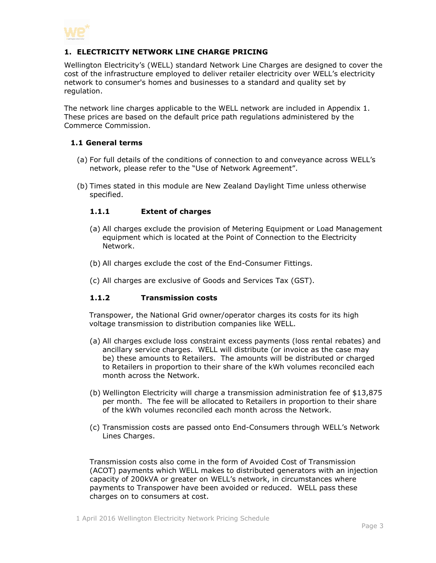

#### <span id="page-2-0"></span>**1. ELECTRICITY NETWORK LINE CHARGE PRICING**

Wellington Electricity's (WELL) standard Network Line Charges are designed to cover the cost of the infrastructure employed to deliver retailer electricity over WELL's electricity network to consumer's homes and businesses to a standard and quality set by regulation.

The network line charges applicable to the WELL network are included in Appendix 1. These prices are based on the default price path regulations administered by the Commerce Commission.

#### <span id="page-2-1"></span>**1.1 General terms**

- (a) For full details of the conditions of connection to and conveyance across WELL's network, please refer to the "Use of Network Agreement".
- <span id="page-2-2"></span>(b) Times stated in this module are New Zealand Daylight Time unless otherwise specified.

#### **1.1.1 Extent of charges**

- (a) All charges exclude the provision of Metering Equipment or Load Management equipment which is located at the Point of Connection to the Electricity Network.
- (b) All charges exclude the cost of the End-Consumer Fittings.
- (c) All charges are exclusive of Goods and Services Tax (GST).

#### <span id="page-2-3"></span>**1.1.2 Transmission costs**

Transpower, the National Grid owner/operator charges its costs for its high voltage transmission to distribution companies like WELL.

- (a) All charges exclude loss constraint excess payments (loss rental rebates) and ancillary service charges. WELL will distribute (or invoice as the case may be) these amounts to Retailers. The amounts will be distributed or charged to Retailers in proportion to their share of the kWh volumes reconciled each month across the Network.
- (b) Wellington Electricity will charge a transmission administration fee of \$13,875 per month. The fee will be allocated to Retailers in proportion to their share of the kWh volumes reconciled each month across the Network.
- (c) Transmission costs are passed onto End-Consumers through WELL's Network Lines Charges.

Transmission costs also come in the form of Avoided Cost of Transmission (ACOT) payments which WELL makes to distributed generators with an injection capacity of 200kVA or greater on WELL's network, in circumstances where payments to Transpower have been avoided or reduced. WELL pass these charges on to consumers at cost.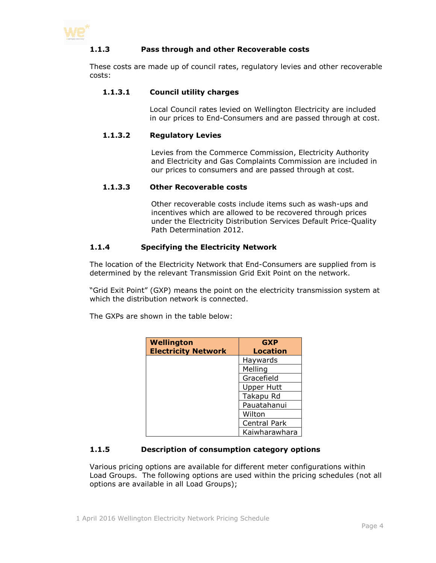<span id="page-3-0"></span>

#### **1.1.3 Pass through and other Recoverable costs**

These costs are made up of council rates, regulatory levies and other recoverable costs:

#### **1.1.3.1 Council utility charges**

Local Council rates levied on Wellington Electricity are included in our prices to End-Consumers and are passed through at cost.

#### **1.1.3.2 Regulatory Levies**

Levies from the Commerce Commission, Electricity Authority and Electricity and Gas Complaints Commission are included in our prices to consumers and are passed through at cost.

#### **1.1.3.3 Other Recoverable costs**

Other recoverable costs include items such as wash-ups and incentives which are allowed to be recovered through prices under the Electricity Distribution Services Default Price-Quality Path Determination 2012.

#### <span id="page-3-1"></span>**1.1.4 Specifying the Electricity Network**

The location of the Electricity Network that End-Consumers are supplied from is determined by the relevant Transmission Grid Exit Point on the network.

"Grid Exit Point" (GXP) means the point on the electricity transmission system at which the distribution network is connected.

The GXPs are shown in the table below:

| <b>Wellington</b><br><b>Electricity Network</b> | <b>GXP</b><br><b>Location</b> |
|-------------------------------------------------|-------------------------------|
|                                                 | Haywards                      |
|                                                 | Melling                       |
|                                                 | Gracefield                    |
|                                                 | <b>Upper Hutt</b>             |
|                                                 | Takapu Rd                     |
|                                                 | Pauatahanui                   |
|                                                 | Wilton                        |
|                                                 | Central Park                  |
|                                                 | Kaiwharawhara                 |

#### <span id="page-3-2"></span>**1.1.5 Description of consumption category options**

Various pricing options are available for different meter configurations within Load Groups. The following options are used within the pricing schedules (not all options are available in all Load Groups);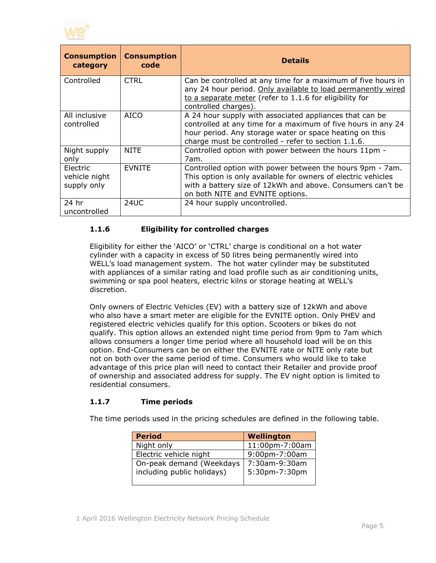

| <b>Consumption</b><br>category           | <b>Consumption</b><br>code | <b>Details</b>                                                                                                                                                                                                                            |
|------------------------------------------|----------------------------|-------------------------------------------------------------------------------------------------------------------------------------------------------------------------------------------------------------------------------------------|
| Controlled                               | <b>CTRL</b>                | Can be controlled at any time for a maximum of five hours in<br>any 24 hour period. Only available to load permanently wired<br>to a separate meter (refer to 1.1.6 for eligibility for<br>controlled charges).                           |
| All inclusive<br>controlled              | <b>AICO</b>                | A 24 hour supply with associated appliances that can be<br>controlled at any time for a maximum of five hours in any 24<br>hour period. Any storage water or space heating on this<br>charge must be controlled - refer to section 1.1.6. |
| Night supply<br>only                     | <b>NITE</b>                | Controlled option with power between the hours 11pm -<br>7am.                                                                                                                                                                             |
| Electric<br>vehicle night<br>supply only | <b>EVNITE</b>              | Controlled option with power between the hours 9pm - 7am.<br>This option is only available for owners of electric vehicles<br>with a battery size of 12kWh and above. Consumers can't be<br>on both NITE and EVNITE options.              |
| 24 hr<br>uncontrolled                    | 24UC                       | 24 hour supply uncontrolled.                                                                                                                                                                                                              |

#### <span id="page-4-0"></span>**1.1.6 Eligibility for controlled charges**

Eligibility for either the 'AICO' or 'CTRL' charge is conditional on a hot water cylinder with a capacity in excess of 50 litres being permanently wired into WELL's load management system. The hot water cylinder may be substituted with appliances of a similar rating and load profile such as air conditioning units, swimming or spa pool heaters, electric kilns or storage heating at WELL's discretion.

Only owners of Electric Vehicles (EV) with a battery size of 12kWh and above who also have a smart meter are eligible for the EVNITE option. Only PHEV and registered electric vehicles qualify for this option. Scooters or bikes do not qualify. This option allows an extended night time period from 9pm to 7am which allows consumers a longer time period where all household load will be on this option. End-Consumers can be on either the EVNITE rate or NITE only rate but not on both over the same period of time. Consumers who would like to take advantage of this price plan will need to contact their Retailer and provide proof of ownership and associated address for supply. The EV night option is limited to residential consumers.

#### <span id="page-4-1"></span>**1.1.7 Time periods**

The time periods used in the pricing schedules are defined in the following table.

| <b>Period</b>              | Wellington     |
|----------------------------|----------------|
| Night only                 | 11:00pm-7:00am |
| Electric vehicle night     | 9:00pm-7:00am  |
| On-peak demand (Weekdays   | 7:30am-9:30am  |
| including public holidays) | 5:30pm-7:30pm  |
|                            |                |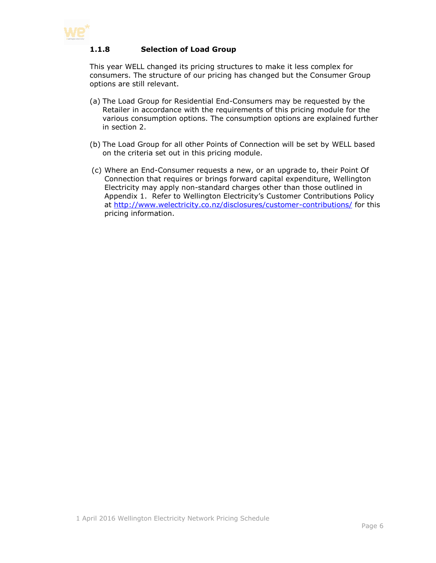<span id="page-5-0"></span>

#### **1.1.8 Selection of Load Group**

This year WELL changed its pricing structures to make it less complex for consumers. The structure of our pricing has changed but the Consumer Group options are still relevant.

- (a) The Load Group for Residential End-Consumers may be requested by the Retailer in accordance with the requirements of this pricing module for the various consumption options. The consumption options are explained further in section 2.
- (b) The Load Group for all other Points of Connection will be set by WELL based on the criteria set out in this pricing module.
- (c) Where an End-Consumer requests a new, or an upgrade to, their Point Of Connection that requires or brings forward capital expenditure, Wellington Electricity may apply non-standard charges other than those outlined in Appendix 1. Refer to Wellington Electricity's Customer Contributions Policy at <http://www.welectricity.co.nz/disclosures/customer-contributions/> for this pricing information.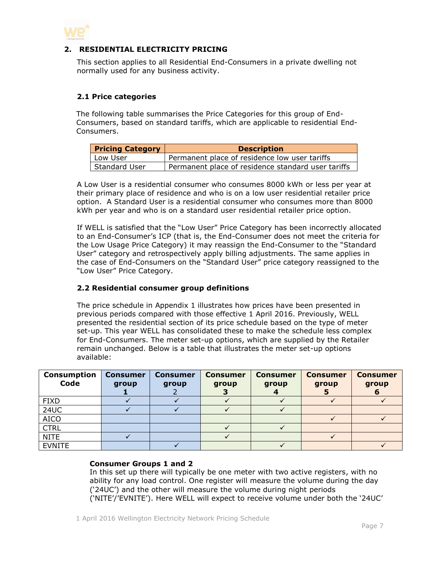

#### <span id="page-6-0"></span>**2. RESIDENTIAL ELECTRICITY PRICING**

This section applies to all Residential End-Consumers in a private dwelling not normally used for any business activity.

#### <span id="page-6-1"></span>**2.1 Price categories**

The following table summarises the Price Categories for this group of End-Consumers, based on standard tariffs, which are applicable to residential End-Consumers.

| <b>Pricing Category</b> | <b>Description</b>                                 |
|-------------------------|----------------------------------------------------|
| Low User                | Permanent place of residence low user tariffs      |
| Standard User           | Permanent place of residence standard user tariffs |

A Low User is a residential consumer who consumes 8000 kWh or less per year at their primary place of residence and who is on a low user residential retailer price option. A Standard User is a residential consumer who consumes more than 8000 kWh per year and who is on a standard user residential retailer price option.

If WELL is satisfied that the "Low User" Price Category has been incorrectly allocated to an End-Consumer's ICP (that is, the End-Consumer does not meet the criteria for the Low Usage Price Category) it may reassign the End-Consumer to the "Standard User" category and retrospectively apply billing adjustments. The same applies in the case of End-Consumers on the "Standard User" price category reassigned to the "Low User" Price Category.

#### <span id="page-6-2"></span>**2.2 Residential consumer group definitions**

The price schedule in Appendix 1 illustrates how prices have been presented in previous periods compared with those effective 1 April 2016. Previously, WELL presented the residential section of its price schedule based on the type of meter set-up. This year WELL has consolidated these to make the schedule less complex for End-Consumers. The meter set-up options, which are supplied by the Retailer remain unchanged. Below is a table that illustrates the meter set-up options available:

| <b>Consumption</b><br>Code | <b>Consumer</b><br>group | <b>Consumer</b><br>group | <b>Consumer</b><br>group | <b>Consumer</b><br>group | <b>Consumer</b><br>group | <b>Consumer</b><br>group |
|----------------------------|--------------------------|--------------------------|--------------------------|--------------------------|--------------------------|--------------------------|
| <b>FIXD</b>                |                          |                          |                          |                          |                          |                          |
| <b>24UC</b>                |                          |                          |                          |                          |                          |                          |
| <b>AICO</b>                |                          |                          |                          |                          |                          |                          |
| <b>CTRL</b>                |                          |                          |                          |                          |                          |                          |
| <b>NITE</b>                |                          |                          |                          |                          |                          |                          |
| <b>EVNITE</b>              |                          |                          |                          |                          |                          |                          |

#### **Consumer Groups 1 and 2**

In this set up there will typically be one meter with two active registers, with no ability for any load control. One register will measure the volume during the day ('24UC') and the other will measure the volume during night periods ('NITE'/'EVNITE'). Here WELL will expect to receive volume under both the '24UC'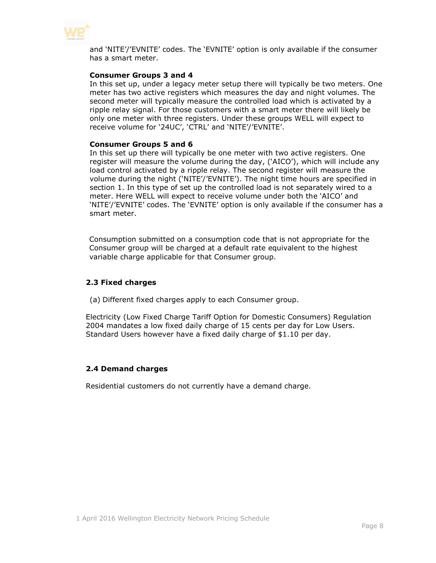

and 'NITE'/'EVNITE' codes. The 'EVNITE' option is only available if the consumer has a smart meter.

#### **Consumer Groups 3 and 4**

In this set up, under a legacy meter setup there will typically be two meters. One meter has two active registers which measures the day and night volumes. The second meter will typically measure the controlled load which is activated by a ripple relay signal. For those customers with a smart meter there will likely be only one meter with three registers. Under these groups WELL will expect to receive volume for '24UC', 'CTRL' and 'NITE'/'EVNITE'.

#### **Consumer Groups 5 and 6**

In this set up there will typically be one meter with two active registers. One register will measure the volume during the day, ('AICO'), which will include any load control activated by a ripple relay. The second register will measure the volume during the night ('NITE'/'EVNITE'). The night time hours are specified in section 1. In this type of set up the controlled load is not separately wired to a meter. Here WELL will expect to receive volume under both the 'AICO' and 'NITE'/'EVNITE' codes. The 'EVNITE' option is only available if the consumer has a smart meter.

Consumption submitted on a consumption code that is not appropriate for the Consumer group will be charged at a default rate equivalent to the highest variable charge applicable for that Consumer group.

#### <span id="page-7-0"></span>**2.3 Fixed charges**

(a) Different fixed charges apply to each Consumer group.

Electricity (Low Fixed Charge Tariff Option for Domestic Consumers) Regulation 2004 mandates a low fixed daily charge of 15 cents per day for Low Users. Standard Users however have a fixed daily charge of \$1.10 per day.

#### <span id="page-7-1"></span>**2.4 Demand charges**

Residential customers do not currently have a demand charge.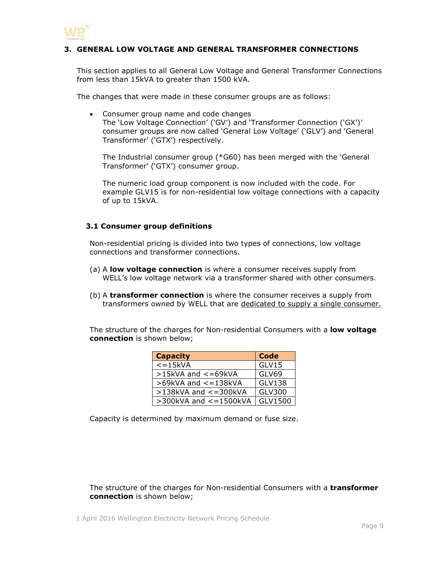

#### <span id="page-8-0"></span>**3. GENERAL LOW VOLTAGE AND GENERAL TRANSFORMER CONNECTIONS**

This section applies to all General Low Voltage and General Transformer Connections from less than 15kVA to greater than 1500 kVA.

The changes that were made in these consumer groups are as follows:

 Consumer group name and code changes The 'Low Voltage Connection' ('GV') and 'Transformer Connection ('GX')' consumer groups are now called 'General Low Voltage' ('GLV') and 'General Transformer' ('GTX') respectively.

The Industrial consumer group (\*G60) has been merged with the 'General Transformer' ('GTX') consumer group.

The numeric load group component is now included with the code. For example GLV15 is for non-residential low voltage connections with a capacity of up to 15kVA.

#### <span id="page-8-1"></span>**3.1 Consumer group definitions**

Non-residential pricing is divided into two types of connections, low voltage connections and transformer connections.

- (a) A **low voltage connection** is where a consumer receives supply from WELL's low voltage network via a transformer shared with other consumers.
- (b) A **transformer connection** is where the consumer receives a supply from transformers owned by WELL that are dedicated to supply a single consumer.

The structure of the charges for Non-residential Consumers with a **low voltage connection** is shown below;

| <b>Capacity</b>              | <b>Code</b>  |
|------------------------------|--------------|
| $\epsilon = 15$ kVA          | GLV15        |
| $>15$ kVA and $<=69$ kVA     | <b>GLV69</b> |
| $>69$ kVA and $<=138$ kVA    | GLV138       |
| $>138$ kVA and $<=300$ kVA   | GLV300       |
| $>$ 300kVA and $<$ = 1500kVA | GLV1500      |

Capacity is determined by maximum demand or fuse size.

The structure of the charges for Non-residential Consumers with a **transformer connection** is shown below;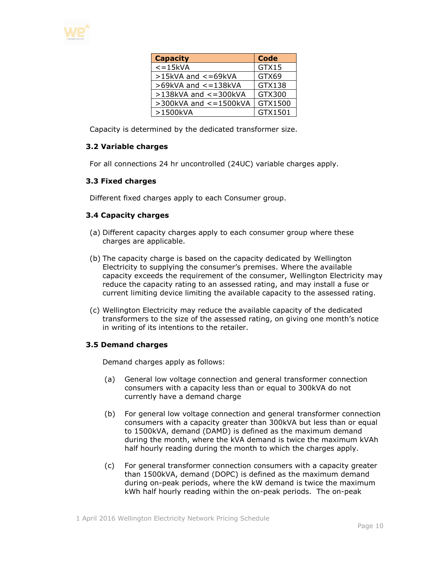

| <b>Capacity</b>              | <b>Code</b> |
|------------------------------|-------------|
| $\overline{\le}$ = 15kVA     | GTX15       |
| $>15$ kVA and $<=69$ kVA     | GTX69       |
| $>69$ kVA and $<=138$ kVA    | GTX138      |
| $>138$ kVA and $<=300$ kVA   | GTX300      |
| $>$ 300kVA and $<$ = 1500kVA | GTX1500     |
| >1500kVA                     | GTX1501     |

Capacity is determined by the dedicated transformer size.

#### <span id="page-9-0"></span>**3.2 Variable charges**

For all connections 24 hr uncontrolled (24UC) variable charges apply.

#### <span id="page-9-1"></span>**3.3 Fixed charges**

Different fixed charges apply to each Consumer group.

#### <span id="page-9-2"></span>**3.4 Capacity charges**

- (a) Different capacity charges apply to each consumer group where these charges are applicable.
- (b) The capacity charge is based on the capacity dedicated by Wellington Electricity to supplying the consumer's premises. Where the available capacity exceeds the requirement of the consumer, Wellington Electricity may reduce the capacity rating to an assessed rating, and may install a fuse or current limiting device limiting the available capacity to the assessed rating.
- (c) Wellington Electricity may reduce the available capacity of the dedicated transformers to the size of the assessed rating, on giving one month's notice in writing of its intentions to the retailer.

#### <span id="page-9-3"></span>**3.5 Demand charges**

Demand charges apply as follows:

- (a) General low voltage connection and general transformer connection consumers with a capacity less than or equal to 300kVA do not currently have a demand charge
- (b) For general low voltage connection and general transformer connection consumers with a capacity greater than 300kVA but less than or equal to 1500kVA, demand (DAMD) is defined as the maximum demand during the month, where the kVA demand is twice the maximum kVAh half hourly reading during the month to which the charges apply.
- (c) For general transformer connection consumers with a capacity greater than 1500kVA, demand (DOPC) is defined as the maximum demand during on-peak periods, where the kW demand is twice the maximum kWh half hourly reading within the on-peak periods. The on-peak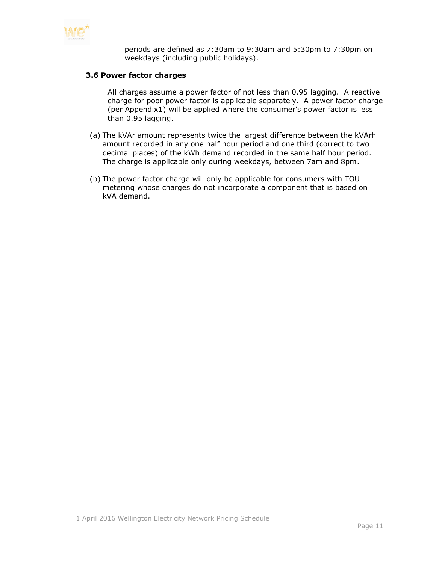

periods are defined as 7:30am to 9:30am and 5:30pm to 7:30pm on weekdays (including public holidays).

#### <span id="page-10-0"></span>**3.6 Power factor charges**

All charges assume a power factor of not less than 0.95 lagging. A reactive charge for poor power factor is applicable separately. A power factor charge (per Appendix1) will be applied where the consumer's power factor is less than 0.95 lagging.

- (a) The kVAr amount represents twice the largest difference between the kVArh amount recorded in any one half hour period and one third (correct to two decimal places) of the kWh demand recorded in the same half hour period. The charge is applicable only during weekdays, between 7am and 8pm.
- (b) The power factor charge will only be applicable for consumers with TOU metering whose charges do not incorporate a component that is based on kVA demand.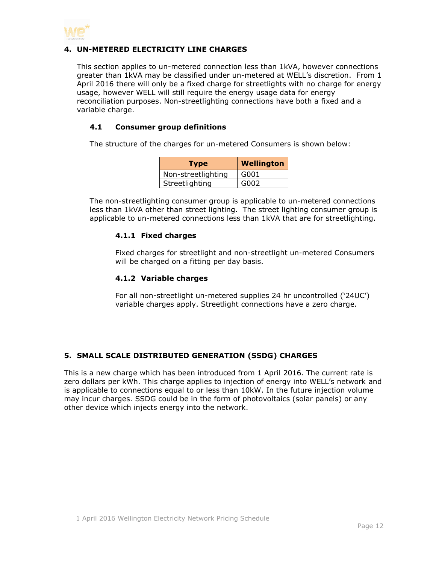

#### <span id="page-11-0"></span>**4. UN-METERED ELECTRICITY LINE CHARGES**

This section applies to un-metered connection less than 1kVA, however connections greater than 1kVA may be classified under un-metered at WELL's discretion. From 1 April 2016 there will only be a fixed charge for streetlights with no charge for energy usage, however WELL will still require the energy usage data for energy reconciliation purposes. Non-streetlighting connections have both a fixed and a variable charge.

#### <span id="page-11-1"></span>**4.1 Consumer group definitions**

The structure of the charges for un-metered Consumers is shown below:

| <b>Type</b>        | Wellington |
|--------------------|------------|
| Non-streetlighting | G001       |
| Streetlighting     | G002       |

<span id="page-11-2"></span>The non-streetlighting consumer group is applicable to un-metered connections less than 1kVA other than street lighting. The street lighting consumer group is applicable to un-metered connections less than 1kVA that are for streetlighting.

#### **4.1.1 Fixed charges**

Fixed charges for streetlight and non-streetlight un-metered Consumers will be charged on a fitting per day basis.

#### <span id="page-11-3"></span>**4.1.2 Variable charges**

For all non-streetlight un-metered supplies 24 hr uncontrolled ('24UC') variable charges apply. Streetlight connections have a zero charge.

#### <span id="page-11-4"></span>**5. SMALL SCALE DISTRIBUTED GENERATION (SSDG) CHARGES**

This is a new charge which has been introduced from 1 April 2016. The current rate is zero dollars per kWh. This charge applies to injection of energy into WELL's network and is applicable to connections equal to or less than 10kW. In the future injection volume may incur charges. SSDG could be in the form of photovoltaics (solar panels) or any other device which injects energy into the network.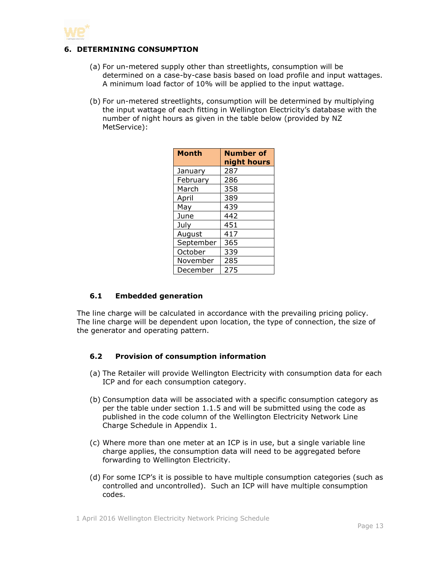

#### <span id="page-12-0"></span>**6. DETERMINING CONSUMPTION**

- (a) For un-metered supply other than streetlights, consumption will be determined on a case-by-case basis based on load profile and input wattages. A minimum load factor of 10% will be applied to the input wattage.
- (b) For un-metered streetlights, consumption will be determined by multiplying the input wattage of each fitting in Wellington Electricity's database with the number of night hours as given in the table below (provided by NZ MetService):

| <b>Month</b> | <b>Number of</b><br>night hours |
|--------------|---------------------------------|
| January      | 287                             |
| February     | 286                             |
| March        | 358                             |
| April        | 389                             |
| May          | 439                             |
| June         | 442                             |
| July         | 451                             |
| August       | 417                             |
| September    | 365                             |
| October      | 339                             |
| November     | 285                             |
| December     | 275                             |

#### <span id="page-12-1"></span>**6.1 Embedded generation**

The line charge will be calculated in accordance with the prevailing pricing policy. The line charge will be dependent upon location, the type of connection, the size of the generator and operating pattern.

#### <span id="page-12-2"></span>**6.2 Provision of consumption information**

- (a) The Retailer will provide Wellington Electricity with consumption data for each ICP and for each consumption category.
- (b) Consumption data will be associated with a specific consumption category as per the table under section 1.1.5 and will be submitted using the code as published in the code column of the Wellington Electricity Network Line Charge Schedule in Appendix 1.
- (c) Where more than one meter at an ICP is in use, but a single variable line charge applies, the consumption data will need to be aggregated before forwarding to Wellington Electricity.
- (d) For some ICP's it is possible to have multiple consumption categories (such as controlled and uncontrolled). Such an ICP will have multiple consumption codes.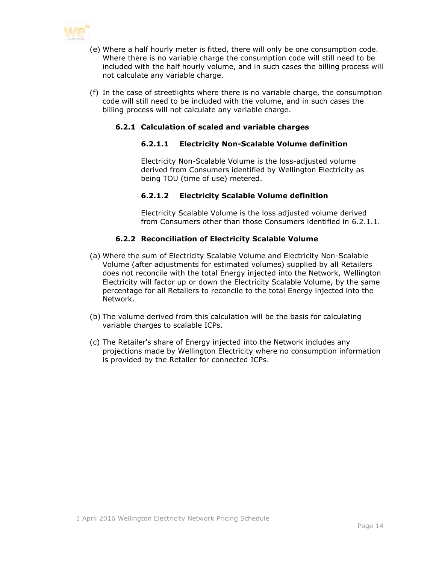

- (e) Where a half hourly meter is fitted, there will only be one consumption code. Where there is no variable charge the consumption code will still need to be included with the half hourly volume, and in such cases the billing process will not calculate any variable charge.
- <span id="page-13-0"></span>(f) In the case of streetlights where there is no variable charge, the consumption code will still need to be included with the volume, and in such cases the billing process will not calculate any variable charge.

#### **6.2.1 Calculation of scaled and variable charges**

#### **6.2.1.1 Electricity Non-Scalable Volume definition**

Electricity Non-Scalable Volume is the loss-adjusted volume derived from Consumers identified by Wellington Electricity as being TOU (time of use) metered.

#### **6.2.1.2 Electricity Scalable Volume definition**

Electricity Scalable Volume is the loss adjusted volume derived from Consumers other than those Consumers identified in 6.2.1.1.

#### **6.2.2 Reconciliation of Electricity Scalable Volume**

- <span id="page-13-1"></span>(a) Where the sum of Electricity Scalable Volume and Electricity Non-Scalable Volume (after adjustments for estimated volumes) supplied by all Retailers does not reconcile with the total Energy injected into the Network, Wellington Electricity will factor up or down the Electricity Scalable Volume, by the same percentage for all Retailers to reconcile to the total Energy injected into the Network.
- (b) The volume derived from this calculation will be the basis for calculating variable charges to scalable ICPs.
- (c) The Retailer's share of Energy injected into the Network includes any projections made by Wellington Electricity where no consumption information is provided by the Retailer for connected ICPs.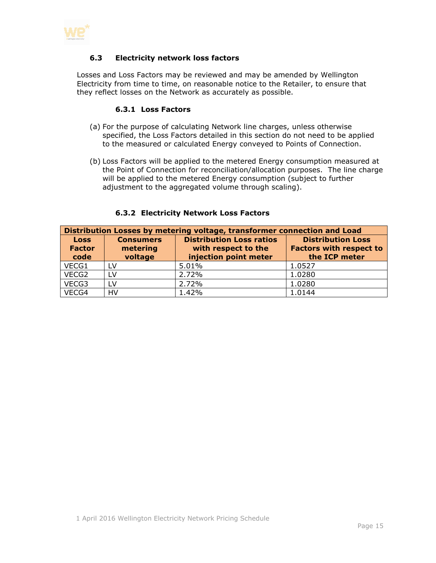<span id="page-14-0"></span>

#### **6.3 Electricity network loss factors**

<span id="page-14-1"></span>Losses and Loss Factors may be reviewed and may be amended by Wellington Electricity from time to time, on reasonable notice to the Retailer, to ensure that they reflect losses on the Network as accurately as possible.

#### **6.3.1 Loss Factors**

- (a) For the purpose of calculating Network line charges, unless otherwise specified, the Loss Factors detailed in this section do not need to be applied to the measured or calculated Energy conveyed to Points of Connection.
- (b) Loss Factors will be applied to the metered Energy consumption measured at the Point of Connection for reconciliation/allocation purposes. The line charge will be applied to the metered Energy consumption (subject to further adjustment to the aggregated volume through scaling).

<span id="page-14-2"></span>

| Distribution Losses by metering voltage, transformer connection and Load |                                         |                                                                                 |                                                                             |  |
|--------------------------------------------------------------------------|-----------------------------------------|---------------------------------------------------------------------------------|-----------------------------------------------------------------------------|--|
| <b>Loss</b><br><b>Factor</b><br>code                                     | <b>Consumers</b><br>metering<br>voltage | <b>Distribution Loss ratios</b><br>with respect to the<br>injection point meter | <b>Distribution Loss</b><br><b>Factors with respect to</b><br>the ICP meter |  |
| VECG1                                                                    | LV                                      | 5.01%                                                                           | 1.0527                                                                      |  |
| VECG2                                                                    | LV                                      | 2.72%                                                                           | 1.0280                                                                      |  |
| VECG3                                                                    | LV                                      | 2.72%                                                                           | 1.0280                                                                      |  |
| VECG4                                                                    | HV                                      | 1.42%                                                                           | 1.0144                                                                      |  |

#### **6.3.2 Electricity Network Loss Factors**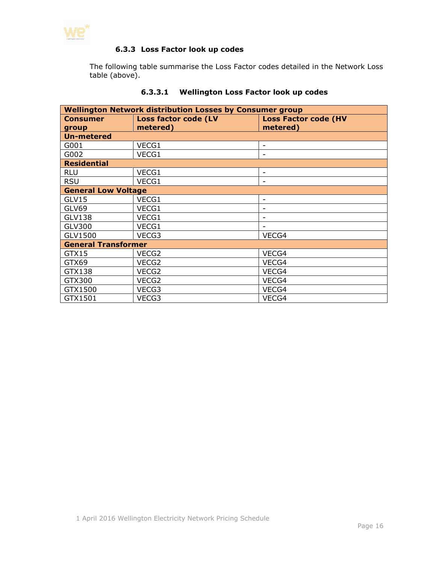<span id="page-15-0"></span>

#### **6.3.3 Loss Factor look up codes**

The following table summarise the Loss Factor codes detailed in the Network Loss table (above).

| <b>Wellington Network distribution Losses by Consumer group</b> |          |                             |  |  |
|-----------------------------------------------------------------|----------|-----------------------------|--|--|
| Loss factor code (LV<br><b>Consumer</b>                         |          | <b>Loss Factor code (HV</b> |  |  |
| group                                                           | metered) | metered)                    |  |  |
| <b>Un-metered</b>                                               |          |                             |  |  |
| G001                                                            | VECG1    | $\overline{\phantom{a}}$    |  |  |
| G002                                                            | VECG1    | $\overline{\phantom{a}}$    |  |  |
| <b>Residential</b>                                              |          |                             |  |  |
| <b>RLU</b>                                                      | VECG1    | $\overline{a}$              |  |  |
| <b>RSU</b>                                                      | VECG1    |                             |  |  |
| <b>General Low Voltage</b>                                      |          |                             |  |  |
| GLV15                                                           | VECG1    | -                           |  |  |
| GLV69                                                           | VECG1    | -                           |  |  |
| <b>GLV138</b>                                                   | VECG1    | -                           |  |  |
| <b>GLV300</b>                                                   | VECG1    |                             |  |  |
| GLV1500                                                         | VECG3    | VECG4                       |  |  |
| <b>General Transformer</b>                                      |          |                             |  |  |
| GTX15                                                           | VECG2    | VECG4                       |  |  |
| GTX69                                                           | VECG2    | VECG4                       |  |  |
| GTX138                                                          | VECG2    | VECG4                       |  |  |
| GTX300                                                          | VECG2    | VECG4                       |  |  |
| GTX1500                                                         | VECG3    | VECG4                       |  |  |
| GTX1501                                                         | VECG3    | VECG4                       |  |  |

#### **6.3.3.1 Wellington Loss Factor look up codes**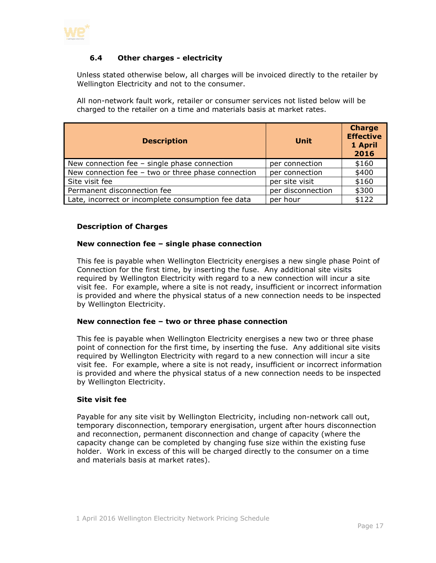

#### <span id="page-16-0"></span>**6.4 Other charges - electricity**

Unless stated otherwise below, all charges will be invoiced directly to the retailer by Wellington Electricity and not to the consumer.

All non-network fault work, retailer or consumer services not listed below will be charged to the retailer on a time and materials basis at market rates.

| <b>Description</b>                                 | <b>Unit</b>       | <b>Charge</b><br><b>Effective</b><br>1 April<br>2016 |
|----------------------------------------------------|-------------------|------------------------------------------------------|
| New connection fee $-$ single phase connection     | per connection    | \$160                                                |
| New connection fee - two or three phase connection | per connection    | \$400                                                |
| Site visit fee                                     | per site visit    | \$160                                                |
| Permanent disconnection fee                        | per disconnection | \$300                                                |
| Late, incorrect or incomplete consumption fee data | per hour          | \$122                                                |

#### **Description of Charges**

#### **New connection fee – single phase connection**

This fee is payable when Wellington Electricity energises a new single phase Point of Connection for the first time, by inserting the fuse. Any additional site visits required by Wellington Electricity with regard to a new connection will incur a site visit fee. For example, where a site is not ready, insufficient or incorrect information is provided and where the physical status of a new connection needs to be inspected by Wellington Electricity.

#### **New connection fee – two or three phase connection**

This fee is payable when Wellington Electricity energises a new two or three phase point of connection for the first time, by inserting the fuse. Any additional site visits required by Wellington Electricity with regard to a new connection will incur a site visit fee. For example, where a site is not ready, insufficient or incorrect information is provided and where the physical status of a new connection needs to be inspected by Wellington Electricity.

#### **Site visit fee**

Payable for any site visit by Wellington Electricity, including non-network call out, temporary disconnection, temporary energisation, urgent after hours disconnection and reconnection, permanent disconnection and change of capacity (where the capacity change can be completed by changing fuse size within the existing fuse holder. Work in excess of this will be charged directly to the consumer on a time and materials basis at market rates).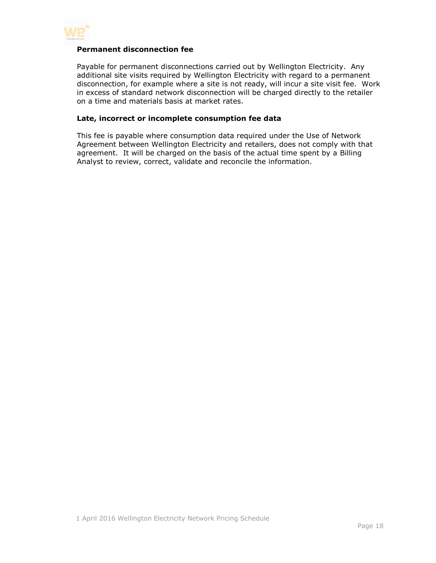

#### **Permanent disconnection fee**

Payable for permanent disconnections carried out by Wellington Electricity. Any additional site visits required by Wellington Electricity with regard to a permanent disconnection, for example where a site is not ready, will incur a site visit fee. Work in excess of standard network disconnection will be charged directly to the retailer on a time and materials basis at market rates.

#### **Late, incorrect or incomplete consumption fee data**

This fee is payable where consumption data required under the Use of Network Agreement between Wellington Electricity and retailers, does not comply with that agreement. It will be charged on the basis of the actual time spent by a Billing Analyst to review, correct, validate and reconcile the information.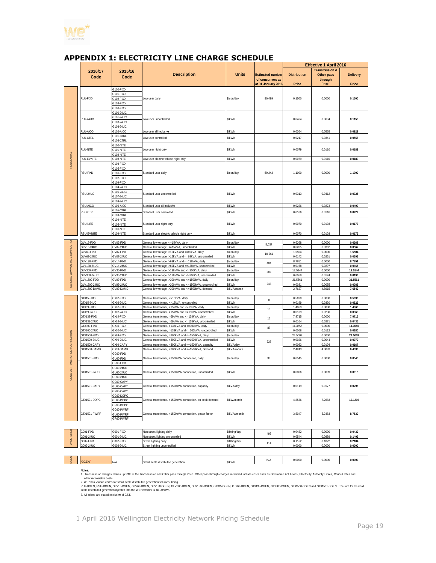

|                               |                                                     |                                                                         |                                                                                                                  |                        |                                                                  | <b>Effective 1 April 2016</b>       |                                                                          |                          |
|-------------------------------|-----------------------------------------------------|-------------------------------------------------------------------------|------------------------------------------------------------------------------------------------------------------|------------------------|------------------------------------------------------------------|-------------------------------------|--------------------------------------------------------------------------|--------------------------|
|                               | 2016/17<br>Code                                     | 2015/16<br>Code                                                         | <b>Description</b>                                                                                               | <b>Units</b>           | <b>Estimated number</b><br>of consumers as<br>at 31 January 2016 | <b>Distribution</b><br><b>Price</b> | <b>Transmission &amp;</b><br>Other pass<br>through<br>Price <sup>1</sup> | <b>Delivery</b><br>Price |
|                               |                                                     | G100-FIXD                                                               |                                                                                                                  |                        |                                                                  |                                     |                                                                          |                          |
|                               | G101-FIXD                                           |                                                                         |                                                                                                                  |                        |                                                                  | 0.1500                              | 0.0000                                                                   | 0.1500                   |
|                               | RLU-FIXD                                            | 3102-FIXD                                                               | Low user daily                                                                                                   | \$/con/day             | 90,499                                                           |                                     |                                                                          |                          |
|                               |                                                     | 3103-FIXD                                                               |                                                                                                                  |                        |                                                                  |                                     |                                                                          |                          |
|                               |                                                     | 3108-FIXD                                                               |                                                                                                                  |                        |                                                                  |                                     |                                                                          |                          |
|                               | G100-24UC<br>3101-24UC<br>RLU-24UC<br>3103-24UC     |                                                                         |                                                                                                                  |                        |                                                                  |                                     |                                                                          |                          |
|                               |                                                     | Low user uncontrolled                                                   | \$/kWh                                                                                                           |                        | 0.0464                                                           | 0.0694                              | 0.1158                                                                   |                          |
|                               |                                                     |                                                                         |                                                                                                                  |                        |                                                                  |                                     |                                                                          |                          |
|                               |                                                     | 3108-24UC                                                               |                                                                                                                  |                        |                                                                  |                                     |                                                                          |                          |
|                               | RLU-AICO                                            | G102-AICO                                                               | Low user all inclusive                                                                                           | \$/kWh                 |                                                                  | 0.0364                              | 0.0565                                                                   | 0.0929                   |
|                               | <b>RLU-CTRL</b>                                     | G101-CTRL                                                               | ow user controlled                                                                                               | \$/kWh                 |                                                                  | 0.0217                              | 0.0341                                                                   | 0.0558                   |
|                               | 3108-CTRL<br>3100-NITE<br><b>RLU-NITE</b>           |                                                                         |                                                                                                                  | \$/kWh                 |                                                                  |                                     |                                                                          |                          |
|                               |                                                     | 3101-NITE                                                               | Low user night only                                                                                              |                        |                                                                  | 0.0079                              | 0.0110                                                                   | 0.0189                   |
|                               |                                                     | 3102-NITE                                                               |                                                                                                                  |                        |                                                                  |                                     |                                                                          |                          |
|                               | RLU-EVNITE                                          | 3108-NITE                                                               | Low user electric vehicle night only                                                                             | \$/kWh                 |                                                                  | 0.0079                              | 0.0110                                                                   | 0.0189                   |
| RESIDENTIAL                   |                                                     | G104-FIXD                                                               | Standard user daily                                                                                              | \$/con/day             | 59,243                                                           | 1.1000                              | 0.0000                                                                   | 1.1000                   |
|                               |                                                     | 3105-FIXD                                                               |                                                                                                                  |                        |                                                                  |                                     |                                                                          |                          |
|                               | RSU-FIXD                                            | 3106-FIXD                                                               |                                                                                                                  |                        |                                                                  |                                     |                                                                          |                          |
|                               |                                                     | G107-FIXD                                                               |                                                                                                                  |                        |                                                                  |                                     |                                                                          |                          |
|                               |                                                     | G109-FIXD                                                               |                                                                                                                  |                        |                                                                  |                                     |                                                                          |                          |
|                               |                                                     | G104-24UC                                                               |                                                                                                                  |                        |                                                                  |                                     | 0.0412                                                                   | 0.0725                   |
|                               | RSU-24UC                                            | G105-24UC                                                               | Standard user uncontrolled                                                                                       | \$/kWh                 |                                                                  | 0.0313                              |                                                                          |                          |
|                               |                                                     | 3107-24UC                                                               |                                                                                                                  |                        |                                                                  |                                     |                                                                          |                          |
|                               |                                                     | 3109-24UC                                                               |                                                                                                                  |                        |                                                                  |                                     |                                                                          |                          |
|                               | RSU-AICO                                            | G106-AICO<br>G105-CTRL                                                  | Standard user all inclusive                                                                                      | \$/kWh                 |                                                                  | 0.0226                              | 0.0273                                                                   | 0.0499                   |
|                               | RSU-CTRL                                            | G109-CTRL                                                               | Standard user controlled                                                                                         | \$/kWh                 |                                                                  | 0.0106                              | 0.0116                                                                   | 0.0222                   |
|                               |                                                     | 3104-NITE                                                               |                                                                                                                  |                        |                                                                  |                                     |                                                                          |                          |
|                               | <b>RSU-NITE</b>                                     | G105-NITE                                                               | Standard user night only                                                                                         | \$/kWh                 |                                                                  | 0.0070                              | 0.0103                                                                   | 0.0173                   |
|                               |                                                     | 3106-NITE                                                               |                                                                                                                  |                        |                                                                  |                                     |                                                                          |                          |
|                               | RSU-EVNITE                                          | G109-NITE                                                               | Standard user electric vehicle night only                                                                        | \$/kWh                 |                                                                  | 0.0070                              | 0.0103                                                                   | 0.0173                   |
|                               |                                                     |                                                                         |                                                                                                                  |                        |                                                                  |                                     |                                                                          |                          |
|                               | GLV15-FIXD                                          | GV02-FIXD                                                               | General low voltage, <= 15kVA, daily                                                                             | \$/con/day             | 5,037                                                            | 0.6268                              | 0.0000                                                                   | 0.6268                   |
|                               | <b>GLV15-24UC</b>                                   | GV02-24UC                                                               | General low voltage, <= 15kVA, uncontrolled                                                                      | \$/kWh                 |                                                                  | 0.0205                              | 0.0362                                                                   | 0.0567                   |
|                               | GLV69-FIXD                                          | GV07-FIXD                                                               | General low voltage, >15kVA and <=69kVA, daily                                                                   | \$/con/day             | 10.261                                                           | 1.5504                              | 0.0000                                                                   | 1.5504                   |
|                               | <b>GLV69-24UC</b>                                   | 3V07-24UC                                                               | General low voltage, >15kVA and <= 69kVA, uncontrolled                                                           | \$/kWh                 |                                                                  | 0.0142                              | 0.0251                                                                   | 0.0393                   |
|                               | GLV138-FIXD                                         | GV14-FIXD                                                               | General low voltage, >69kVA and <=138kVA, daily                                                                  | \$/con/day             | 404                                                              | 8.7851                              | 0.0000                                                                   | 8.7851                   |
|                               | GLV138-24UC                                         | GV14-24UC                                                               | General low voltage, >69kVA and <=138kVA, uncontrolled                                                           | <b>S/kWh</b>           |                                                                  | 0.0168                              | 0.0297                                                                   | 0.0465                   |
| GENERAL LOW VOLTAGE CONNECTIO | GLV300-FIXD                                         | GV30-FIXD                                                               | General low voltage, >138kVA and <= 300kVA, daily                                                                | \$/con/day             | 309                                                              | 12.5144                             | 0.0000                                                                   | 12.5144                  |
|                               | <b>GLV300-24UC</b>                                  | 3V30-24UC                                                               | General low voltage, >138kVA and <= 300kVA, uncontrolled                                                         | \$/kWh                 |                                                                  | 0.0069                              | 0.0124                                                                   | 0.0193                   |
|                               | GLV1500-FIXD                                        | GV99-FIXD                                                               | General low voltage, >300kVA and <= 1500kVA, daily                                                               | \$/con/day<br>\$/kWh   | 248                                                              | 31.5561                             | 0.0000                                                                   | 31.5561                  |
|                               | GLV1500-24UC<br>GLV1500-DAMD                        | GV99-24UC<br>GV99-DAMD                                                  | General low voltage, >300kVA and <= 1500kVA, uncontrolled<br>General low voltage, >300kVA and <= 1500kVA, demand | \$/kVA/month           |                                                                  | 0.0031<br>2.7627                    | 0.0055<br>4.8915                                                         | 0.0086<br>7.6542         |
|                               |                                                     |                                                                         |                                                                                                                  |                        |                                                                  |                                     |                                                                          |                          |
|                               | GTX15-FIXD                                          | GX02-FIXD                                                               | General transformer, <= 15kVA, daily                                                                             | \$/con/day             |                                                                  | 0.5690                              | 0.0000                                                                   | 0.5690                   |
|                               | GTX15-24UC                                          | GX02-24UC                                                               | General transformer, <= 15kVA, uncontrolled                                                                      | \$/kWh                 | $\mathbf{0}$                                                     | 0.0199                              | 0.0330                                                                   | 0.0529                   |
|                               | GTX69-FIXD                                          | GX07-FIXD                                                               | General transformer, >15kVA and <=69kVA, daily                                                                   | \$/con/day             | 18                                                               | 1.4069                              | 0.0000                                                                   | 1.4069                   |
|                               | GTX69-24UC                                          | 3X07-24UC                                                               | General transformer, >15kVA and <=69kVA, uncontrolled                                                            | <b>S/kWh</b>           |                                                                  | 0.0139                              | 0.0230                                                                   | 0.0369                   |
|                               | GTX138-FIXD                                         | GX14-FIXD                                                               | General transformer, >69kVA and <=138kVA, daily                                                                  | \$/con/day             | 16                                                               | 7.9715                              | 0.0000                                                                   | 7.9715                   |
|                               | GTX138-24UC                                         | GX14-24UC                                                               | General transformer, >69kVA and <= 138kVA, uncontrolled                                                          | \$/kWh                 |                                                                  | 0.0164                              | 0.0271                                                                   | 0.0435                   |
|                               | GTX300-FIXD                                         | GX30-FIXD                                                               | General transformer, >138kVA and <= 300kVA, daily                                                                | \$/con/day             | 87                                                               | 11.3555                             | 0.0000                                                                   | 11.3555                  |
|                               | GTX300-24UC                                         | GX30-24UC                                                               | General transformer, >138kVA and <= 300kVA, uncontrolled                                                         | \$/kWh                 |                                                                  | 0.0068                              | 0.0112                                                                   | 0.0180                   |
|                               | GTX1500-FIXD                                        | GX99-FIXD                                                               | General transformer, >300kVA and <= 1500kVA, daily                                                               | \$/con/day             |                                                                  | 24.5009                             | 0.0000                                                                   | 24.5009                  |
|                               | GTX1500-24UC                                        | GX99-24UC                                                               | General transformer, >300kVA and <= 1500kVA, uncontrolled                                                        | \$/kWh                 | 237                                                              | 0.0026                              | 0.0044                                                                   | 0.0070                   |
|                               | GTX1500-CAPY                                        | GX99-CAPY                                                               | General transformer, >300kVA and <= 1500kVA, capacity                                                            | \$/kVA/day             |                                                                  | 0.0063                              | 0.0104                                                                   | 0.0167                   |
|                               | GTX1500-DAMD                                        | GX99-DAMD                                                               | General transformer, >300kVA and <= 1500kVA, demand                                                              | \$/kVA/month           |                                                                  | 2.4243                              | 4.0093                                                                   | 6.4336                   |
| TRANSFORMER CONNECTION        | GC60-FIXD<br>GTX1501-FIXD<br>GU60-FIXD              |                                                                         |                                                                                                                  | 39                     | 0.0545                                                           | 0.0000                              | 0.0545                                                                   |                          |
|                               |                                                     | General transformer, >1500kVA connection, daily                         | \$/con/day                                                                                                       |                        |                                                                  |                                     |                                                                          |                          |
|                               | GR60-FIXD<br>3C60-24UC<br>GTX1501-24UC<br>GU60-24UC | General transformer, >1500kVA connection, uncontrolled                  |                                                                                                                  |                        | 0.0006                                                           |                                     | 0.0015                                                                   |                          |
|                               |                                                     |                                                                         | \$/kWh                                                                                                           |                        |                                                                  | 0.0009                              |                                                                          |                          |
| <b>JENERAL</b>                |                                                     | GR60-24UC                                                               |                                                                                                                  |                        |                                                                  |                                     |                                                                          |                          |
|                               | GC60-CAPY                                           |                                                                         |                                                                                                                  |                        |                                                                  |                                     |                                                                          |                          |
|                               | GTX1501-CAPY<br>GU60-CAPY                           |                                                                         | General transformer, >1500kVA connection, capacity                                                               | \$/kVA/day             |                                                                  | 0.0119                              | 0.0177                                                                   | 0.0296                   |
|                               |                                                     | GR60-CAPY                                                               |                                                                                                                  |                        |                                                                  |                                     |                                                                          |                          |
|                               |                                                     | GC60-DOPC                                                               |                                                                                                                  |                        |                                                                  |                                     |                                                                          |                          |
|                               | GTX1501-DOPC<br>GU60-DOPC                           | \$/kW/month<br>General transformer, >1500kVA connection, on-peak demand |                                                                                                                  |                        | 4.8536                                                           | 7.2683                              | 12.1219                                                                  |                          |
|                               | GR60-DOPC                                           |                                                                         |                                                                                                                  |                        |                                                                  |                                     |                                                                          |                          |
|                               | GTX1501-PWRF                                        | GC60-PWRF                                                               |                                                                                                                  |                        |                                                                  |                                     |                                                                          |                          |
|                               |                                                     | GU60-PWRF                                                               | General transformer, >1500kVA connection, power factor                                                           | \$/kVAr/month          |                                                                  | 3.5047                              | 5.2483                                                                   | 8.7530                   |
|                               |                                                     | GR60-PWRF                                                               |                                                                                                                  |                        |                                                                  |                                     |                                                                          |                          |
|                               |                                                     |                                                                         |                                                                                                                  |                        |                                                                  |                                     |                                                                          |                          |
|                               | G001-FIXD                                           | G001-FIXD                                                               | Non-street lighting daily                                                                                        |                        |                                                                  | 0.0432                              | 0.0000                                                                   | 0.0432                   |
|                               | G001-24UC                                           | G001-24UC                                                               | Non-street lighting uncontrolled                                                                                 | \$/fitting/day<br>MkWh | 496                                                              | 0.0544                              | 0.0859                                                                   | 0.1403                   |
| UNMETERED                     | G002-FIXD                                           | G002-FIXD                                                               | Street lighting daily                                                                                            | \$/fitting/day         |                                                                  | 0.1162                              | 0.1022                                                                   | 0.2184                   |
|                               | G002-24UC                                           | G002-24UC                                                               | Street lighting uncontrolled                                                                                     | \$/kWh                 | 114                                                              | 0.0000                              | 0.0000                                                                   | 0.0000                   |

#### <span id="page-18-0"></span>**APPENDIX 1: ELECTRICITY LINE CHARGE SCHEDULE**

E <mark>TOGEN<sup>2</sup> N/A Small scale distributed generation \$/kWh N/A 0.0000 0.0000 0.0000 **0.0000** 0.0000 0.0000 0.0000 0.0000 0.0000 0.0000 0.0000 0.0000 0.0000 0.0000 0.0000 0.0000 0.0000 0.0000 0.0000 0.0000 0.0000 0.0000 0.000</mark>

Notes:<br>1. Transmission charges makes up 93% of the Transmission and Other pass through Price. Other pass through charges recovered include costs such as Commerce Act Levies, Electricity Authority Levies, Council rates and<br>

2. WE\* has various codes for small scale distributed generation volumes, being<br>RLU-DGEN, RSU-DGEN, GLV15-DGEN, GLV138-DGEN, GLV300-DGEN, GLV1500-DGEN, GTX15-DGEN, GTX139-DGEN, GTX39-DGEN, GTX1500-DGEN and GTX1501-DGEN. Th

3. All prices are stated exclusive of GST.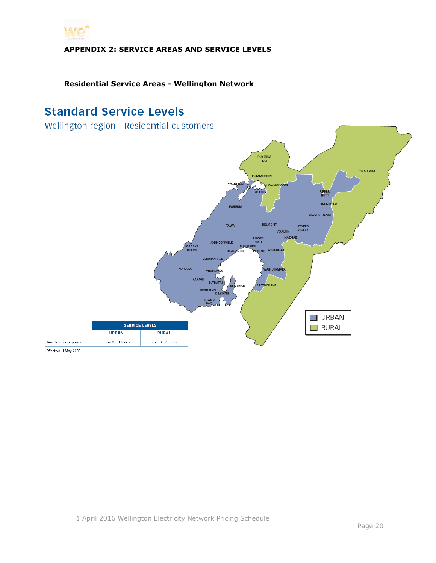<span id="page-19-0"></span>

# **Residential Service Areas - Wellington Network**

# **Standard Service Levels**

Wellington region - Residential customers



Effective: 1 May 2005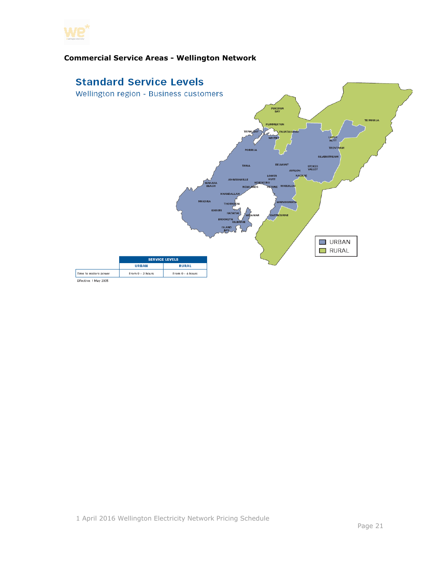

## **Commercial Service Areas - Wellington Network**



1 April 2016 Wellington Electricity Network Pricing Schedule